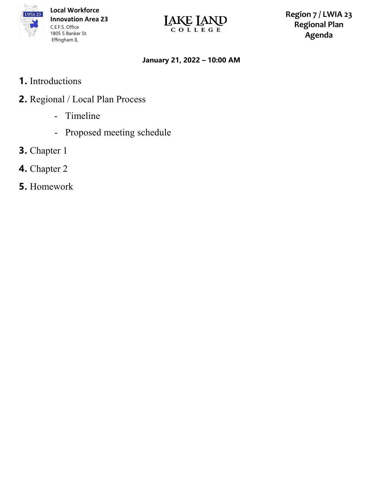

**Local Workforce Innovation Area 23**  1805 S Banker St.



**Region 7 / LWIA 23 Regional Plan Agenda**

## **January 21, 2022 – 10:00 AM**

- **1.** Introductions
- **2.** Regional / Local Plan Process
	- Timeline
	- Proposed meeting schedule
- **3.** Chapter 1
- **4.** Chapter 2
- **5.** Homework